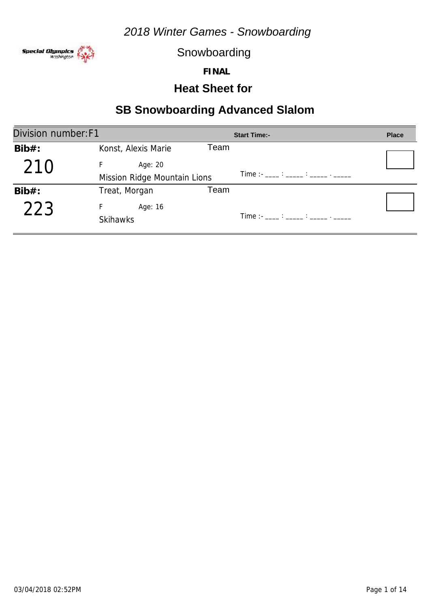

Snowboarding

**FINAL**

## **Heat Sheet for**

| Division number: F1 |                              |      | <b>Start Time:-</b>                   | <b>Place</b> |
|---------------------|------------------------------|------|---------------------------------------|--------------|
| $Bib#$ :            | Konst, Alexis Marie          | Team |                                       |              |
| 210                 | Age: 20                      |      |                                       |              |
|                     | Mission Ridge Mountain Lions |      | Time : - ____ : _____ : _____ . _____ |              |
| $Bib#$ :            | Treat, Morgan                | Team |                                       |              |
| 223                 | Age: 16                      |      |                                       |              |
|                     | <b>Skihawks</b>              |      | Time :- ____ : _____ : _____ . _____  |              |
|                     |                              |      |                                       |              |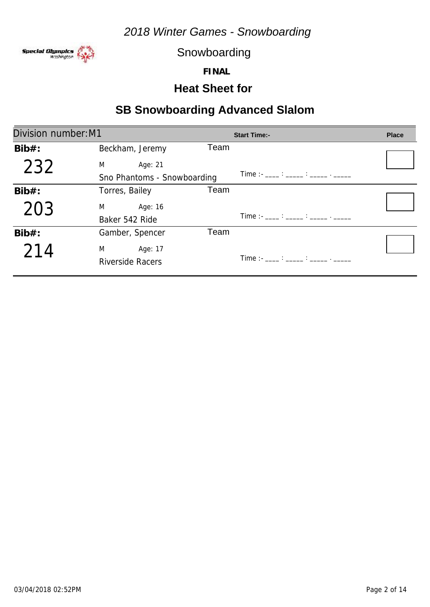

Snowboarding

**FINAL**

## **Heat Sheet for**

| Division number: M1 |                             |      | <b>Start Time:-</b>                                                                                                                                                                                                                                                                                    | <b>Place</b> |
|---------------------|-----------------------------|------|--------------------------------------------------------------------------------------------------------------------------------------------------------------------------------------------------------------------------------------------------------------------------------------------------------|--------------|
| $Bib#$ :            | Beckham, Jeremy             | Team |                                                                                                                                                                                                                                                                                                        |              |
| 232                 | M<br>Age: 21                |      |                                                                                                                                                                                                                                                                                                        |              |
|                     | Sno Phantoms - Snowboarding |      | $Time:  \frac{1}{2}$ : $\frac{1}{2}$ : $\frac{1}{2}$ : $\frac{1}{2}$ : $\frac{1}{2}$ : $\frac{1}{2}$ : $\frac{1}{2}$ : $\frac{1}{2}$ : $\frac{1}{2}$ : $\frac{1}{2}$ : $\frac{1}{2}$ : $\frac{1}{2}$ : $\frac{1}{2}$ : $\frac{1}{2}$ : $\frac{1}{2}$ : $\frac{1}{2}$ : $\frac{1}{2}$ : $\frac{1}{2}$ : |              |
| $Bib#$ :            | Torres, Bailey              | Team |                                                                                                                                                                                                                                                                                                        |              |
| 203                 | Age: 16<br>M                |      |                                                                                                                                                                                                                                                                                                        |              |
|                     | Baker 542 Ride              |      | $Time:  \frac{1}{2}$ : $\frac{1}{2}$ : $\frac{1}{2}$ : $\frac{1}{2}$ : $\frac{1}{2}$ : $\frac{1}{2}$ : $\frac{1}{2}$ : $\frac{1}{2}$ : $\frac{1}{2}$ : $\frac{1}{2}$ : $\frac{1}{2}$ : $\frac{1}{2}$ : $\frac{1}{2}$ : $\frac{1}{2}$ : $\frac{1}{2}$ : $\frac{1}{2}$ : $\frac{1}{2}$ : $\frac{1}{2}$ : |              |
| $Bib#$ :            | Gamber, Spencer             | Team |                                                                                                                                                                                                                                                                                                        |              |
| 214                 | M<br>Age: 17                |      |                                                                                                                                                                                                                                                                                                        |              |
|                     | <b>Riverside Racers</b>     |      |                                                                                                                                                                                                                                                                                                        |              |
|                     |                             |      |                                                                                                                                                                                                                                                                                                        |              |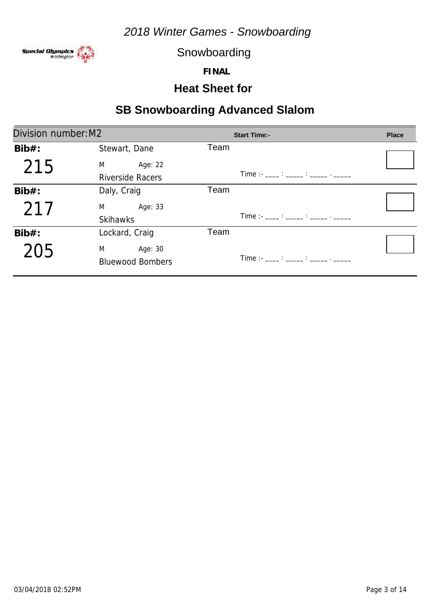

Snowboarding

**FINAL**

#### **Heat Sheet for**

| Division number: M2 |                           | <b>Start Time:-</b>                                                                                                                                                                                                                                                                                    | <b>Place</b> |
|---------------------|---------------------------|--------------------------------------------------------------------------------------------------------------------------------------------------------------------------------------------------------------------------------------------------------------------------------------------------------|--------------|
| $Bib#$ :            | Stewart, Dane             | Team                                                                                                                                                                                                                                                                                                   |              |
| 215                 | M <sub>2</sub><br>Age: 22 |                                                                                                                                                                                                                                                                                                        |              |
|                     | <b>Riverside Racers</b>   | $Time:  \frac{1}{2}$ : $\frac{1}{2}$ : $\frac{1}{2}$ : $\frac{1}{2}$ : $\frac{1}{2}$ : $\frac{1}{2}$ : $\frac{1}{2}$ : $\frac{1}{2}$ : $\frac{1}{2}$ : $\frac{1}{2}$ : $\frac{1}{2}$ : $\frac{1}{2}$ : $\frac{1}{2}$ : $\frac{1}{2}$ : $\frac{1}{2}$ : $\frac{1}{2}$ : $\frac{1}{2}$ : $\frac{1}{2}$ : |              |
| $Bib#$ :            | Daly, Craig               | Team                                                                                                                                                                                                                                                                                                   |              |
| 217                 | M <sub>2</sub><br>Age: 33 |                                                                                                                                                                                                                                                                                                        |              |
|                     | <b>Skihawks</b>           | $Time:  \frac{1}{2}$ : $\frac{1}{2}$ : $\frac{1}{2}$ : $\frac{1}{2}$ : $\frac{1}{2}$ : $\frac{1}{2}$ : $\frac{1}{2}$ : $\frac{1}{2}$ : $\frac{1}{2}$ : $\frac{1}{2}$ : $\frac{1}{2}$ : $\frac{1}{2}$ : $\frac{1}{2}$ : $\frac{1}{2}$ : $\frac{1}{2}$ : $\frac{1}{2}$ : $\frac{1}{2}$ : $\frac{1}{2}$ : |              |
| $Bib#$ :            | Lockard, Craig            | Team                                                                                                                                                                                                                                                                                                   |              |
| 205                 | M<br>Age: 30              |                                                                                                                                                                                                                                                                                                        |              |
|                     | <b>Bluewood Bombers</b>   | Time :- ____ : _____ : _____ . _____                                                                                                                                                                                                                                                                   |              |
|                     |                           |                                                                                                                                                                                                                                                                                                        |              |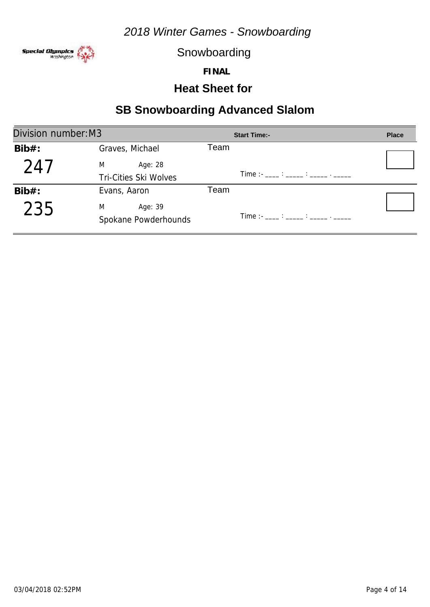

Snowboarding

**FINAL**

#### **Heat Sheet for**

| Division number: M3 |                       | <b>Start Time:-</b>                        | <b>Place</b> |
|---------------------|-----------------------|--------------------------------------------|--------------|
| $Bib#$ :            | Graves, Michael       | Team                                       |              |
| 247                 | M<br>Age: 28          |                                            |              |
|                     | Tri-Cities Ski Wolves | Time : ____ : _____ : _____ . _____        |              |
| $Bib#$ :            | Evans, Aaron          | Team                                       |              |
| 235                 | M<br>Age: 39          |                                            |              |
|                     | Spokane Powderhounds  | Time :- ___ : ____ : _____ : _____ . _____ |              |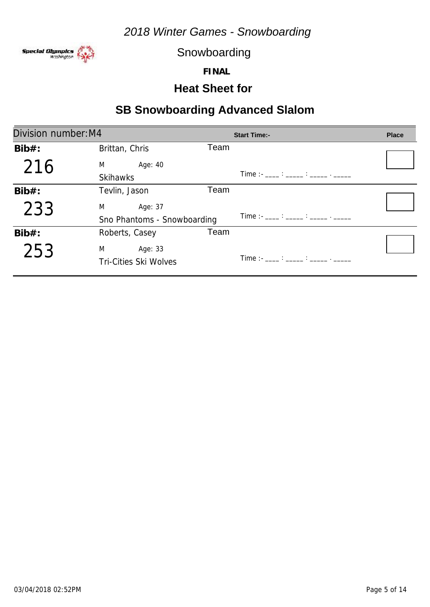

Snowboarding

**FINAL**

#### **Heat Sheet for**

| Division number: M4 |                              |      | <b>Start Time:-</b>                                                                                                                                                                                                               | <b>Place</b> |
|---------------------|------------------------------|------|-----------------------------------------------------------------------------------------------------------------------------------------------------------------------------------------------------------------------------------|--------------|
| $Bib#$ :            | Brittan, Chris               | Team |                                                                                                                                                                                                                                   |              |
| 216                 | Age: 40<br>M                 |      |                                                                                                                                                                                                                                   |              |
|                     | <b>Skihawks</b>              |      |                                                                                                                                                                                                                                   |              |
| $Bib#$ :            | Tevlin, Jason                | Team |                                                                                                                                                                                                                                   |              |
| 233                 | M<br>Age: 37                 |      |                                                                                                                                                                                                                                   |              |
|                     | Sno Phantoms - Snowboarding  |      | $Time: 11.21: 12.32: 12.32: 12.32: 12.32: 12.32: 12.32: 12.32: 12.32: 12.32: 12.32: 12.32: 12.32: 12.32: 12.32: 12.32: 12.32: 12.32: 12.32: 12.32: 12.32: 12.32: 12.32: 12.32: 12.32: 12.32: 12.32: 12.32: 12.32: 12.32: 12.32: $ |              |
| $Bib#$ :            | Roberts, Casey               | Team |                                                                                                                                                                                                                                   |              |
| 253                 | M<br>Age: 33                 |      |                                                                                                                                                                                                                                   |              |
|                     | <b>Tri-Cities Ski Wolves</b> |      |                                                                                                                                                                                                                                   |              |
|                     |                              |      |                                                                                                                                                                                                                                   |              |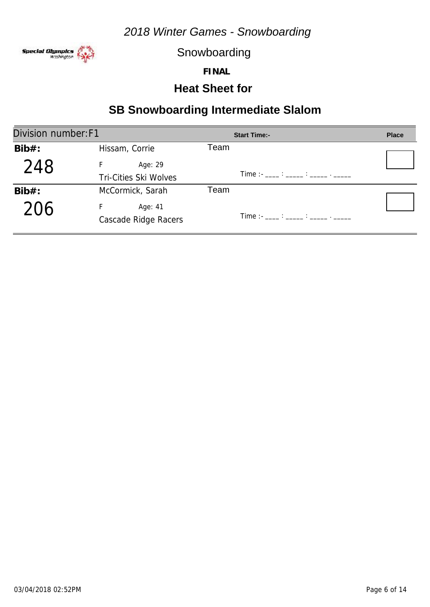

Snowboarding

**FINAL**

## **Heat Sheet for**

| Division number: F1 |                                      | <b>Start Time:-</b>                                                                                                                                                                                                                                                                                       | <b>Place</b> |
|---------------------|--------------------------------------|-----------------------------------------------------------------------------------------------------------------------------------------------------------------------------------------------------------------------------------------------------------------------------------------------------------|--------------|
| $Bib#$ :            | Hissam, Corrie                       | Team                                                                                                                                                                                                                                                                                                      |              |
| 248                 | Age: 29                              |                                                                                                                                                                                                                                                                                                           |              |
|                     | <b>Tri-Cities Ski Wolves</b>         | $Time:  \frac{1}{2}$ : $\frac{1}{2}$ : $\frac{1}{2}$ : $\frac{1}{2}$ : $\frac{1}{2}$ : $\frac{1}{2}$ : $\frac{1}{2}$ : $\frac{1}{2}$ : $\frac{1}{2}$ : $\frac{1}{2}$ : $\frac{1}{2}$ : $\frac{1}{2}$ : $\frac{1}{2}$ : $\frac{1}{2}$ : $\frac{1}{2}$ : $\frac{1}{2}$ : $\frac{1}{2}$ : $\frac{1}{2}$ :    |              |
| $Bib#$ :            | McCormick, Sarah                     | Team                                                                                                                                                                                                                                                                                                      |              |
| 206                 | F<br>Age: 41<br>Cascade Ridge Racers | $Time: -$ : $\frac{1}{1}$ : $\frac{1}{1}$ : $\frac{1}{1}$ : $\frac{1}{1}$ : $\frac{1}{1}$ : $\frac{1}{1}$ : $\frac{1}{1}$ : $\frac{1}{1}$ : $\frac{1}{1}$ : $\frac{1}{1}$ : $\frac{1}{1}$ : $\frac{1}{1}$ : $\frac{1}{1}$ : $\frac{1}{1}$ : $\frac{1}{1}$ : $\frac{1}{1}$ : $\frac{1}{1}$ : $\frac{1}{1}$ |              |
|                     |                                      |                                                                                                                                                                                                                                                                                                           |              |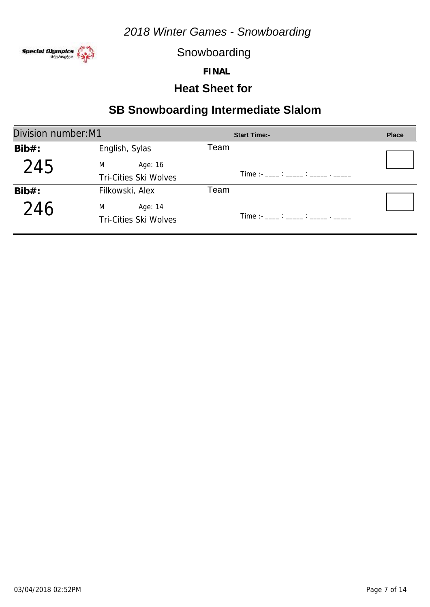

Snowboarding

**FINAL**

## **Heat Sheet for**

| Division number: M1 |                              | <b>Start Time:-</b>                                                                                                                                                                                                                                                                                       | <b>Place</b> |
|---------------------|------------------------------|-----------------------------------------------------------------------------------------------------------------------------------------------------------------------------------------------------------------------------------------------------------------------------------------------------------|--------------|
| $Bib#$ :            | English, Sylas               | Team                                                                                                                                                                                                                                                                                                      |              |
| 245                 | M<br>Age: 16                 |                                                                                                                                                                                                                                                                                                           |              |
|                     | Tri-Cities Ski Wolves        | $Time: -$ : $\frac{1}{100}$ : $\frac{1}{100}$ : $\frac{1}{100}$ : $\frac{1}{100}$ : $\frac{1}{100}$ : $\frac{1}{100}$                                                                                                                                                                                     |              |
| $Bib#$ :            | Filkowski, Alex              | Team                                                                                                                                                                                                                                                                                                      |              |
| 246                 | M<br>Age: 14                 |                                                                                                                                                                                                                                                                                                           |              |
|                     | <b>Tri-Cities Ski Wolves</b> | $Time: -$ : $\frac{1}{1}$ : $\frac{1}{1}$ : $\frac{1}{1}$ : $\frac{1}{1}$ : $\frac{1}{1}$ : $\frac{1}{1}$ : $\frac{1}{1}$ : $\frac{1}{1}$ : $\frac{1}{1}$ : $\frac{1}{1}$ : $\frac{1}{1}$ : $\frac{1}{1}$ : $\frac{1}{1}$ : $\frac{1}{1}$ : $\frac{1}{1}$ : $\frac{1}{1}$ : $\frac{1}{1}$ : $\frac{1}{1}$ |              |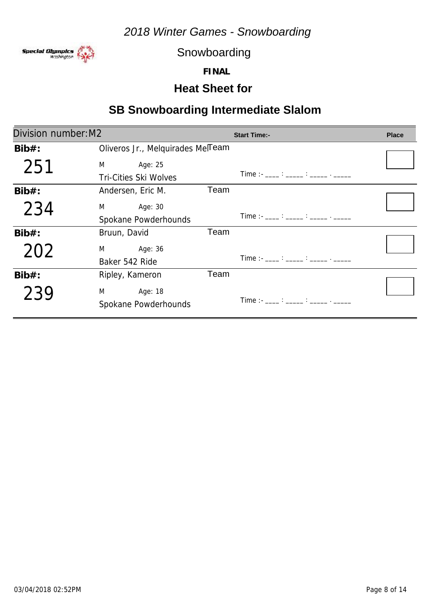

Snowboarding

**FINAL**

#### **Heat Sheet for**

| Division number: M2 |                                                                                                                                                                                                                                                                              |      | <b>Start Time:-</b>                                                                                                                                                                                                                                                                                    | <b>Place</b> |
|---------------------|------------------------------------------------------------------------------------------------------------------------------------------------------------------------------------------------------------------------------------------------------------------------------|------|--------------------------------------------------------------------------------------------------------------------------------------------------------------------------------------------------------------------------------------------------------------------------------------------------------|--------------|
| $Bib#$ :            | Oliveros Jr., Melquirades Melleam                                                                                                                                                                                                                                            |      |                                                                                                                                                                                                                                                                                                        |              |
| 251                 | Age: 25<br>M <sub>2</sub> and the state of the state of the state of the state of the state of the state of the state of the state of the state of the state of the state of the state of the state of the state of the state of the state of the s<br>Tri-Cities Ski Wolves |      | $Time:  \frac{1}{2}$ : $\frac{1}{2}$ : $\frac{1}{2}$ : $\frac{1}{2}$ : $\frac{1}{2}$ : $\frac{1}{2}$ : $\frac{1}{2}$ : $\frac{1}{2}$ : $\frac{1}{2}$ : $\frac{1}{2}$ : $\frac{1}{2}$ : $\frac{1}{2}$ : $\frac{1}{2}$ : $\frac{1}{2}$ : $\frac{1}{2}$ : $\frac{1}{2}$ : $\frac{1}{2}$ : $\frac{1}{2}$ : |              |
| $Bib#$ :            | Andersen, Eric M.                                                                                                                                                                                                                                                            | Team |                                                                                                                                                                                                                                                                                                        |              |
| 234                 | Age: 30<br>M<br>Spokane Powderhounds                                                                                                                                                                                                                                         |      | Time :- ____ : _____ : _____ . _____                                                                                                                                                                                                                                                                   |              |
| $Bib#$ :            | Bruun, David                                                                                                                                                                                                                                                                 | Team |                                                                                                                                                                                                                                                                                                        |              |
| 202                 | Age: 36<br>M <sub>ar</sub><br>Baker 542 Ride                                                                                                                                                                                                                                 |      | $Time: 11.21: 12.31: 12.31: 12.31: 12.31: 12.31: 12.31: 12.31: 12.31: 12.31: 12.31: 12.31: 12.31: 12.31: 12.31: 12.31: 12.31: 12.31: 12.31: 12.31: 12.31: 12.31: 12.31: 12.31: 12.31: 12.31: 12.31: 12.31: 12.31: 12.31: 12.31: $                                                                      |              |
| $Bib#$ :            | Ripley, Kameron                                                                                                                                                                                                                                                              | Team |                                                                                                                                                                                                                                                                                                        |              |
| 239                 | M <sub>2</sub> and the state of the state of the state of the state of the state of the state of the state of the state of the state of the state of the state of the state of the state of the state of the state of the state of the s<br>Age: 18<br>Spokane Powderhounds  |      | Time : - ____ : _____ : _____ . _____                                                                                                                                                                                                                                                                  |              |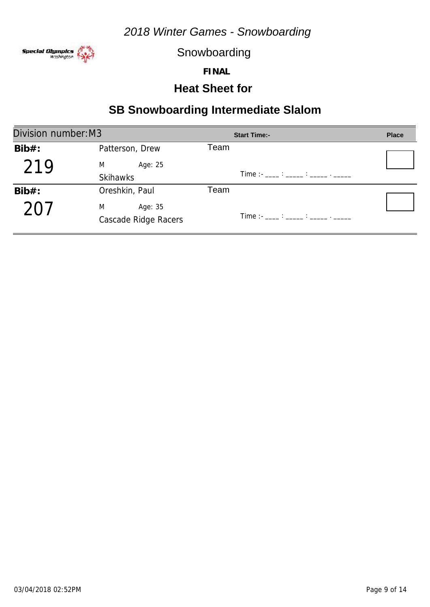

Snowboarding

**FINAL**

## **Heat Sheet for**

| Division number: M3 |                      | <b>Start Time:-</b>                           | <b>Place</b> |
|---------------------|----------------------|-----------------------------------------------|--------------|
| $Bib#$ :            | Patterson, Drew      | Team                                          |              |
| 219                 | M<br>Age: 25         |                                               |              |
|                     | <b>Skihawks</b>      | Time : - ____ : _____ : _____ . _____         |              |
| $Bib#$ :            | Oreshkin, Paul       | Team                                          |              |
| 701                 | M<br>Age: 35         |                                               |              |
|                     | Cascade Ridge Racers | Time :- ____ : _____ : _____ : ______ . _____ |              |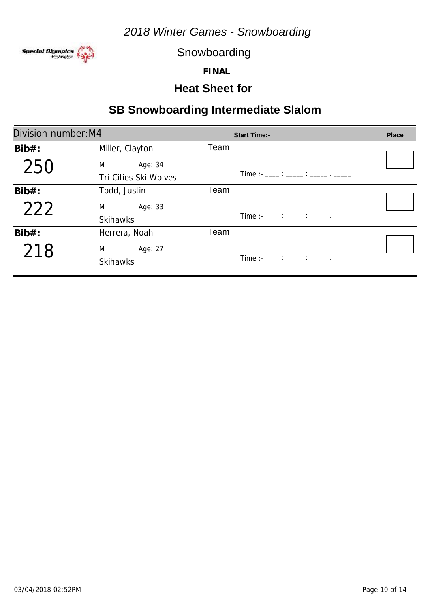

Snowboarding

**FINAL**

## **Heat Sheet for**

| Division number: M4 |                              | <b>Start Time:-</b>                                                                                                                                                                                                                                                                                    | <b>Place</b> |
|---------------------|------------------------------|--------------------------------------------------------------------------------------------------------------------------------------------------------------------------------------------------------------------------------------------------------------------------------------------------------|--------------|
| $Bib#$ :            | Miller, Clayton              | Team                                                                                                                                                                                                                                                                                                   |              |
| 250                 | Age: 34<br>M                 |                                                                                                                                                                                                                                                                                                        |              |
|                     | <b>Tri-Cities Ski Wolves</b> | Time :- ____ : _____ : _____ . _____                                                                                                                                                                                                                                                                   |              |
| $Bib#$ :            | Todd, Justin                 | Team                                                                                                                                                                                                                                                                                                   |              |
| 222                 | M <sub>2</sub><br>Age: 33    |                                                                                                                                                                                                                                                                                                        |              |
|                     | <b>Skihawks</b>              | $Time:  \frac{1}{2}$ : $\frac{1}{2}$ : $\frac{1}{2}$ : $\frac{1}{2}$ : $\frac{1}{2}$ : $\frac{1}{2}$ : $\frac{1}{2}$ : $\frac{1}{2}$ : $\frac{1}{2}$ : $\frac{1}{2}$ : $\frac{1}{2}$ : $\frac{1}{2}$ : $\frac{1}{2}$ : $\frac{1}{2}$ : $\frac{1}{2}$ : $\frac{1}{2}$ : $\frac{1}{2}$ : $\frac{1}{2}$ : |              |
| $Bib#$ :            | Herrera, Noah                | Team                                                                                                                                                                                                                                                                                                   |              |
| 218                 | M<br>Age: 27                 |                                                                                                                                                                                                                                                                                                        |              |
|                     | <b>Skihawks</b>              | Time :- ____ : _____ : _____ . _____                                                                                                                                                                                                                                                                   |              |
|                     |                              |                                                                                                                                                                                                                                                                                                        |              |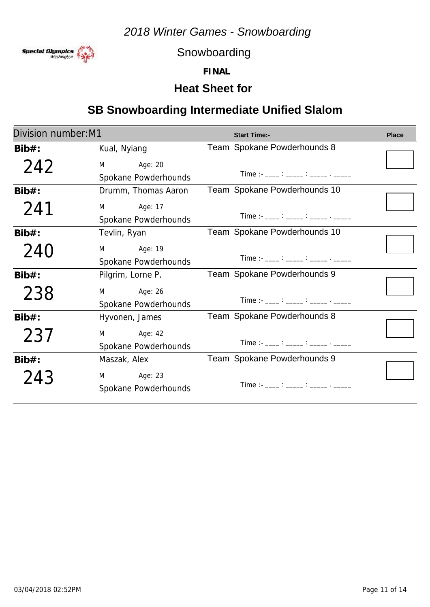

Snowboarding

**FINAL**

## **Heat Sheet for**

## **SB Snowboarding Intermediate Unified Slalom**

| Division number: M1 |                       | <b>Start Time:-</b>                                            | <b>Place</b> |
|---------------------|-----------------------|----------------------------------------------------------------|--------------|
| $Bib#$ :            | Kual, Nyiang          | Team Spokane Powderhounds 8                                    |              |
| 242                 | M<br>Age: 20          |                                                                |              |
|                     | Spokane Powderhounds  | Time :- ____ : _____ : _____ . _____                           |              |
| $Bib#$ :            | Drumm, Thomas Aaron   | Team Spokane Powderhounds 10                                   |              |
| 241                 | M Age: 17             |                                                                |              |
|                     | Spokane Powderhounds  | $Time:  \frac{?}{?}$ $\frac{?}{?}$ $\frac{?}{?}$ $\frac{?}{?}$ |              |
| $Bib#$ :            | Tevlin, Ryan          | Team Spokane Powderhounds 10                                   |              |
| 240                 | M<br>Age: 19          |                                                                |              |
|                     | Spokane Powderhounds  | Time :- ____ : _____ : _____ . _____                           |              |
| $Bib#$ :            | Pilgrim, Lorne P.     | Team Spokane Powderhounds 9                                    |              |
| 238                 | $M \sim 1$<br>Age: 26 |                                                                |              |
|                     | Spokane Powderhounds  | Time :- ____ : _____ : _____ : ______ . _____                  |              |
| $Bib#$ :            | Hyvonen, James        | Team Spokane Powderhounds 8                                    |              |
| 237                 | M<br>Age: 42          |                                                                |              |
|                     | Spokane Powderhounds  | Time :- ____ : _____ : _____ : ______ . ______                 |              |
| $Bib#$ :            | Maszak, Alex          | Team Spokane Powderhounds 9                                    |              |
| 243                 | M Age: 23             |                                                                |              |
|                     | Spokane Powderhounds  | Time :- ____ : _____ : _____ . _____                           |              |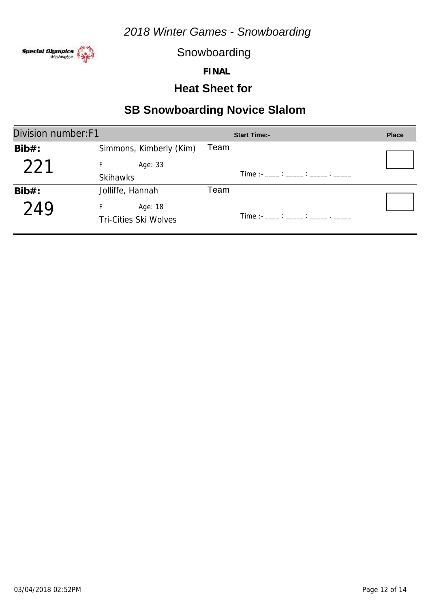

Snowboarding

**FINAL**

#### **Heat Sheet for**

## **SB Snowboarding Novice Slalom**

| Division number: F1 |                              | <b>Start Time:-</b> | <b>Place</b> |
|---------------------|------------------------------|---------------------|--------------|
| $Bib#$ :            | Simmons, Kimberly (Kim)      | Team                |              |
| 221                 | Age: 33                      |                     |              |
|                     | <b>Skihawks</b>              |                     |              |
| $Bib#$ :            | Jolliffe, Hannah             | Team                |              |
| 249                 | Age: 18                      |                     |              |
|                     | <b>Tri-Cities Ski Wolves</b> |                     |              |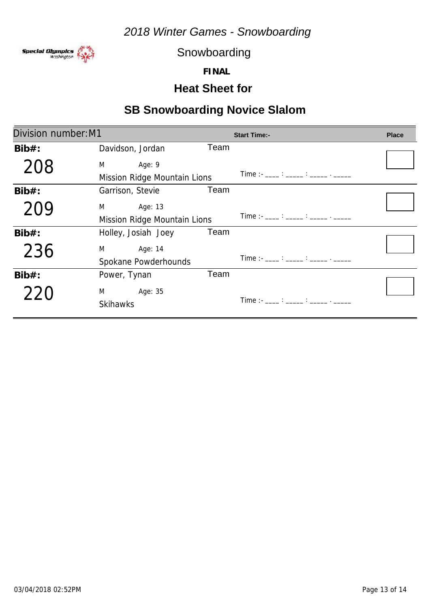

Snowboarding

**FINAL**

#### **Heat Sheet for**

# **SB Snowboarding Novice Slalom**

| Division number: M1 |                              |      | <b>Start Time:-</b>                                                                                                                                                                                                                                                                                    | <b>Place</b> |
|---------------------|------------------------------|------|--------------------------------------------------------------------------------------------------------------------------------------------------------------------------------------------------------------------------------------------------------------------------------------------------------|--------------|
| $Bib#$ :            | Davidson, Jordan             | Team |                                                                                                                                                                                                                                                                                                        |              |
| 208                 | M<br>Age: 9                  |      |                                                                                                                                                                                                                                                                                                        |              |
|                     | Mission Ridge Mountain Lions |      | Time :- ____ : _____ : _____ . _____                                                                                                                                                                                                                                                                   |              |
| $Bib#$ :            | Garrison, Stevie             | Team |                                                                                                                                                                                                                                                                                                        |              |
| 209                 | M<br>Age: 13                 |      |                                                                                                                                                                                                                                                                                                        |              |
|                     | Mission Ridge Mountain Lions |      | Time :- ____ : _____ : _____ . _____                                                                                                                                                                                                                                                                   |              |
| $Bib#$ :            | Holley, Josiah Joey          | Team |                                                                                                                                                                                                                                                                                                        |              |
| 236                 | M<br>Age: 14                 |      |                                                                                                                                                                                                                                                                                                        |              |
|                     | Spokane Powderhounds         |      | $Time:  \frac{1}{2}$ : $\frac{1}{2}$ : $\frac{1}{2}$ : $\frac{1}{2}$ : $\frac{1}{2}$ : $\frac{1}{2}$ : $\frac{1}{2}$ : $\frac{1}{2}$ : $\frac{1}{2}$ : $\frac{1}{2}$ : $\frac{1}{2}$ : $\frac{1}{2}$ : $\frac{1}{2}$ : $\frac{1}{2}$ : $\frac{1}{2}$ : $\frac{1}{2}$ : $\frac{1}{2}$ : $\frac{1}{2}$ : |              |
| $Bib#$ :            | Power, Tynan                 | Team |                                                                                                                                                                                                                                                                                                        |              |
| 220                 | M <sub>arri</sub><br>Age: 35 |      |                                                                                                                                                                                                                                                                                                        |              |
|                     | <b>Skihawks</b>              |      | Time :- ____ : _____ : _____ . _____                                                                                                                                                                                                                                                                   |              |